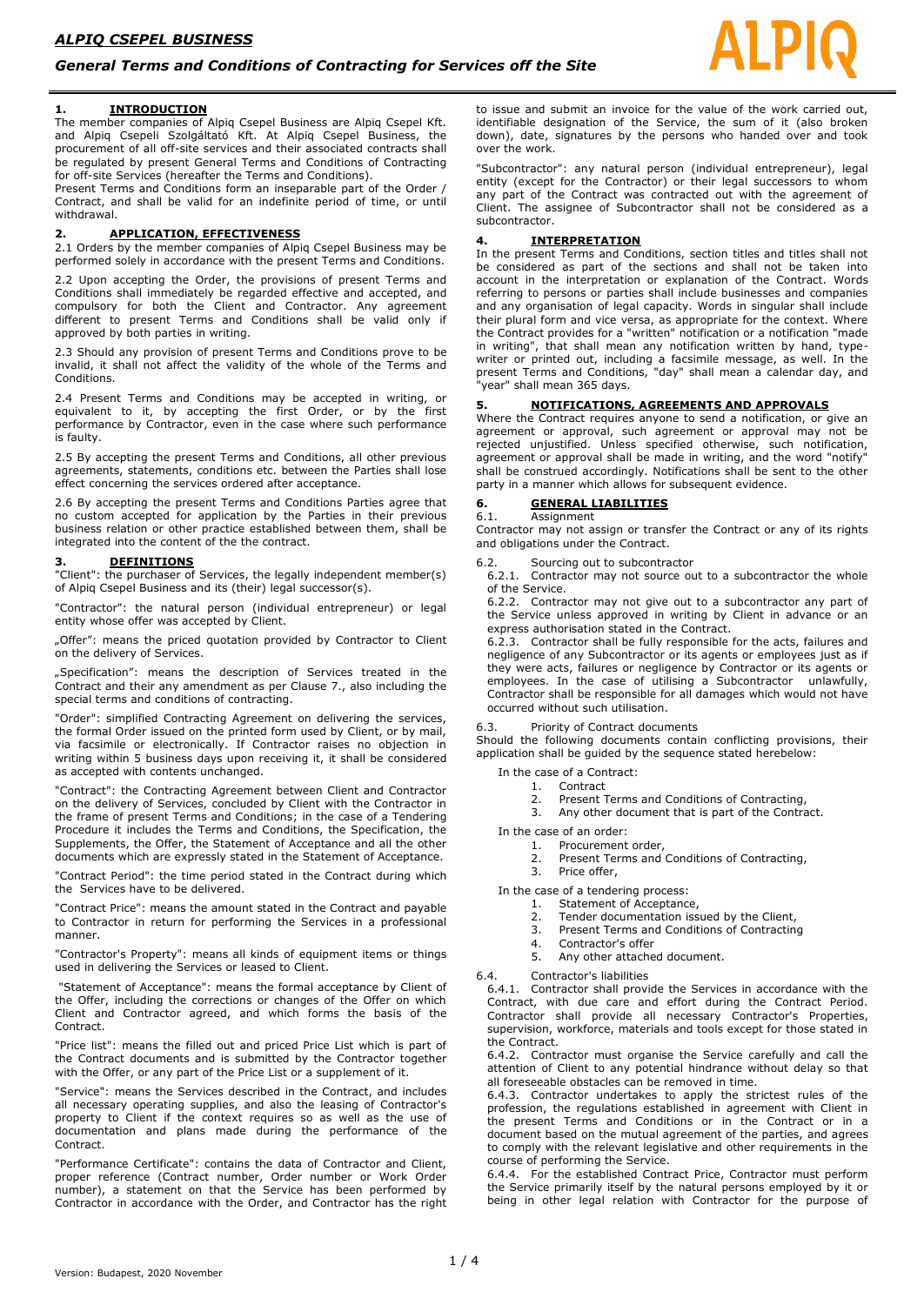# **1. INTRODUCTION**

The member companies of Alpiq Csepel Business are Alpiq Csepel Kft. and Alpiq Csepeli Szolgáltató Kft. At Alpiq Csepel Business, the procurement of all off-site services and their associated contracts shall be regulated by present General Terms and Conditions of Contracting for off-site Services (hereafter the Terms and Conditions).

Present Terms and Conditions form an inseparable part of the Order / Contract, and shall be valid for an indefinite period of time, or until withdrawal.

## **2. APPLICATION, EFFECTIVENESS**

2.1 Orders by the member companies of Alpiq Csepel Business may be performed solely in accordance with the present Terms and Conditions.

2.2 Upon accepting the Order, the provisions of present Terms and Conditions shall immediately be regarded effective and accepted, and compulsory for both the Client and Contractor. Any agreement different to present Terms and Conditions shall be valid only if approved by both parties in writing.

2.3 Should any provision of present Terms and Conditions prove to be invalid, it shall not affect the validity of the whole of the Terms and Conditions.

2.4 Present Terms and Conditions may be accepted in writing, or equivalent to it, by accepting the first Order, or by the first performance by Contractor, even in the case where such performance is faulty.

2.5 By accepting the present Terms and Conditions, all other previous agreements, statements, conditions etc. between the Parties shall lose effect concerning the services ordered after acceptance.

2.6 By accepting the present Terms and Conditions Parties agree that no custom accepted for application by the Parties in their previous business relation or other practice established between them, shall be integrated into the content of the the contract.

#### **3. DEFINITIONS**

"Client": the purchaser of Services, the legally independent member(s) of Alpiq Csepel Business and its (their) legal successor(s).

"Contractor": the natural person (individual entrepreneur) or legal entity whose offer was accepted by Client.

"Offer": means the priced quotation provided by Contractor to Client on the delivery of Services.

"Specification": means the description of Services treated in the Contract and their any amendment as per Clause 7., also including the special terms and conditions of contracting.

"Order": simplified Contracting Agreement on delivering the services, the formal Order issued on the printed form used by Client, or by mail, via facsimile or electronically. If Contractor raises no objection in writing within 5 business days upon receiving it, it shall be considered as accepted with contents unchanged.

"Contract": the Contracting Agreement between Client and Contractor on the delivery of Services, concluded by Client with the Contractor in the frame of present Terms and Conditions; in the case of a Tendering Procedure it includes the Terms and Conditions, the Specification, the Supplements, the Offer, the Statement of Acceptance and all the other documents which are expressly stated in the Statement of Acceptance.

"Contract Period": the time period stated in the Contract during which the Services have to be delivered.

"Contract Price": means the amount stated in the Contract and payable to Contractor in return for performing the Services in a professional manner.

"Contractor's Property": means all kinds of equipment items or things used in delivering the Services or leased to Client.

"Statement of Acceptance": means the formal acceptance by Client of the Offer, including the corrections or changes of the Offer on which Client and Contractor agreed, and which forms the basis of the Contract.

"Price list": means the filled out and priced Price List which is part of the Contract documents and is submitted by the Contractor together with the Offer, or any part of the Price List or a supplement of it.

"Service": means the Services described in the Contract, and includes all necessary operating supplies, and also the leasing of Contractor's property to Client if the context requires so as well as the use of documentation and plans made during the performance of the Contract.

"Performance Certificate": contains the data of Contractor and Client, proper reference (Contract number, Order number or Work Order number), a statement on that the Service has been performed by Contractor in accordance with the Order, and Contractor has the right to issue and submit an invoice for the value of the work carried out, identifiable designation of the Service, the sum of it (also broken down), date, signatures by the persons who handed over and took over the work.

"Subcontractor": any natural person (individual entrepreneur), legal entity (except for the Contractor) or their legal successors to whom any part of the Contract was contracted out with the agreement of Client. The assignee of Subcontractor shall not be considered as a subcontractor.

# **4. INTERPRETATION**

In the present Terms and Conditions, section titles and titles shall not be considered as part of the sections and shall not be taken into account in the interpretation or explanation of the Contract. Words referring to persons or parties shall include businesses and companies and any organisation of legal capacity. Words in singular shall include their plural form and vice versa, as appropriate for the context. Where the Contract provides for a "written" notification or a notification "made in writing", that shall mean any notification written by hand, typewriter or printed out, including a facsimile message, as well. In the present Terms and Conditions, "day" shall mean a calendar day, and "year" shall mean 365 days.

## **5. NOTIFICATIONS, AGREEMENTS AND APPROVALS**

Where the Contract requires anyone to send a notification, or give an agreement or approval, such agreement or approval may not be rejected unjustified. Unless specified otherwise, such notification, agreement or approval shall be made in writing, and the word "notify" shall be construed accordingly. Notifications shall be sent to the other party in a manner which allows for subsequent evidence.

# **6. GENERAL LIABILITIES**

**Assignment** 

Contractor may not assign or transfer the Contract or any of its rights and obligations under the Contract.

6.2. Sourcing out to subcontractor

6.2.1. Contractor may not source out to a subcontractor the whole of the Service.

6.2.2. Contractor may not give out to a subcontractor any part of the Service unless approved in writing by Client in advance or an express authorisation stated in the Contract.

6.2.3. Contractor shall be fully responsible for the acts, failures and negligence of any Subcontractor or its agents or employees just as if they were acts, failures or negligence by Contractor or its agents or employees. In the case of utilising a Subcontractor unlawfully, Contractor shall be responsible for all damages which would not have occurred without such utilisation.

Priority of Contract documents

Should the following documents contain conflicting provisions, their application shall be guided by the sequence stated herebelow:

In the case of a Contract:<br>1. Contract

- **Contract**
- 2. Present Terms and Conditions of Contracting, 3. Any other document that is part of the Contract.

In the case of an order:

- 1. Procurement order,
	- 2. Present Terms and Conditions of Contracting,
- 3. Price offer,
- In the case of a tendering process:
	- 1. Statement of Acceptance,
	- 2. Tender documentation issued by the Client,<br>3. Present Terms and Conditions of Contractin
		- Present Terms and Conditions of Contracting
	- 4. Contractor's offer<br>5. Any other attache
	- Any other attached document.

6.4. Contractor's liabilities

6.4.1. Contractor shall provide the Services in accordance with the Contract, with due care and effort during the Contract Period. Contractor shall provide all necessary Contractor's Properties, supervision, workforce, materials and tools except for those stated in the Contract.

6.4.2. Contractor must organise the Service carefully and call the attention of Client to any potential hindrance without delay so that all foreseeable obstacles can be removed in time.

6.4.3. Contractor undertakes to apply the strictest rules of the profession, the regulations established in agreement with Client in the present Terms and Conditions or in the Contract or in a document based on the mutual agreement of the parties, and agrees to comply with the relevant legislative and other requirements in the course of performing the Service.

6.4.4. For the established Contract Price, Contractor must perform the Service primarily itself by the natural persons employed by it or being in other legal relation with Contractor for the purpose of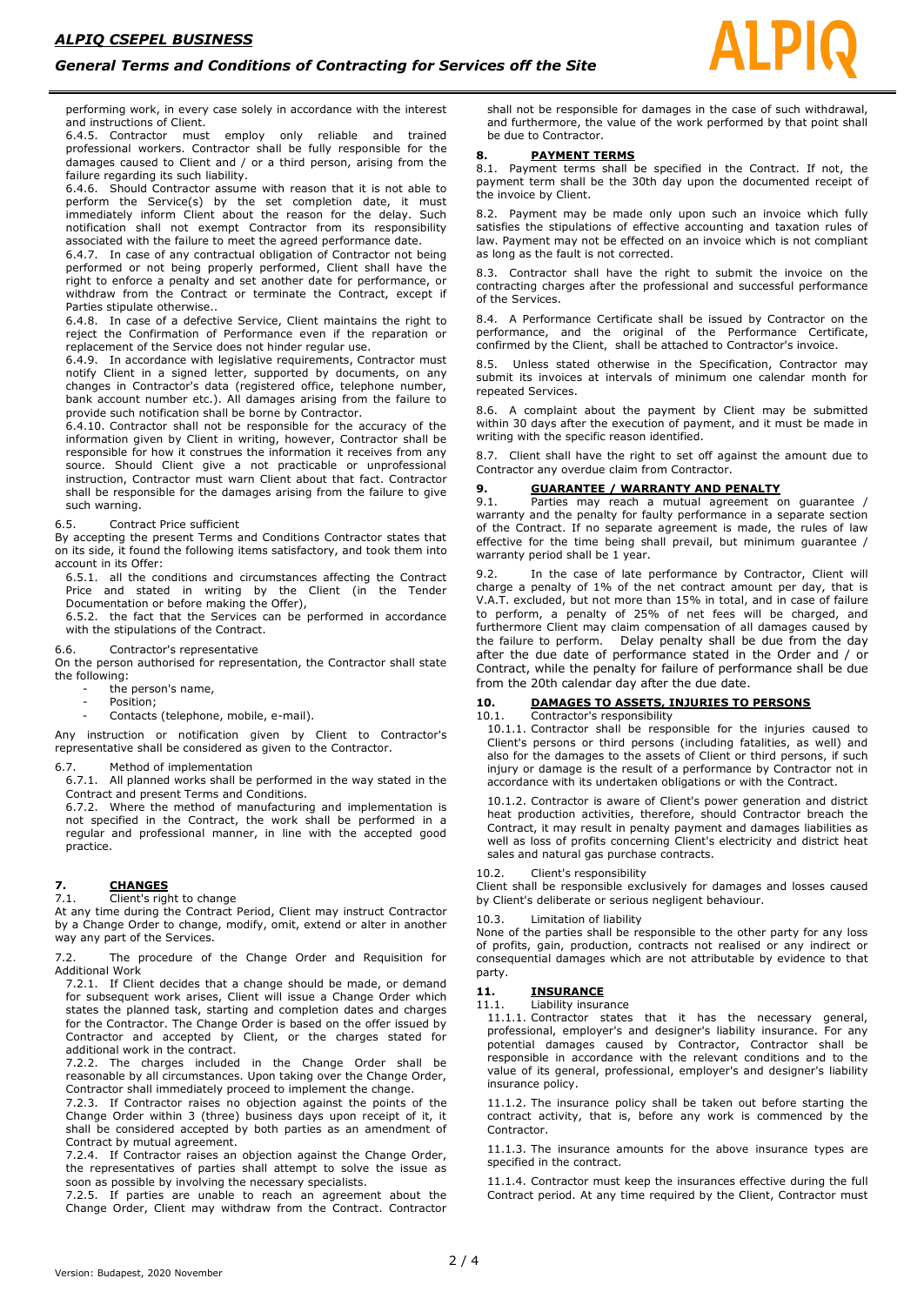performing work, in every case solely in accordance with the interest and instructions of Client.<br>6.4.5. Contractor must

employ only reliable and trained professional workers. Contractor shall be fully responsible for the damages caused to Client and / or a third person, arising from the failure regarding its such liability.

6.4.6. Should Contractor assume with reason that it is not able to perform the Service(s) by the set completion date, it must immediately inform Client about the reason for the delay. Such notification shall not exempt Contractor from its responsibility associated with the failure to meet the agreed performance date.

6.4.7. In case of any contractual obligation of Contractor not being performed or not being properly performed, Client shall have the right to enforce a penalty and set another date for performance, or withdraw from the Contract or terminate the Contract, except if Parties stipulate otherwise..

6.4.8. In case of a defective Service, Client maintains the right to reject the Confirmation of Performance even if the reparation or replacement of the Service does not hinder regular use.

6.4.9. In accordance with legislative requirements, Contractor must notify Client in a signed letter, supported by documents, on any changes in Contractor's data (registered office, telephone number, bank account number etc.). All damages arising from the failure to provide such notification shall be borne by Contractor.

6.4.10. Contractor shall not be responsible for the accuracy of the information given by Client in writing, however, Contractor shall be responsible for how it construes the information it receives from any source. Should Client give a not practicable or unprofessional instruction, Contractor must warn Client about that fact. Contractor shall be responsible for the damages arising from the failure to give such warning.

### 6.5. Contract Price sufficient

By accepting the present Terms and Conditions Contractor states that on its side, it found the following items satisfactory, and took them into account in its Offer:

6.5.1. all the conditions and circumstances affecting the Contract Price and stated in writing by the Client (in the Tender Documentation or before making the Offer),

6.5.2. the fact that the Services can be performed in accordance with the stipulations of the Contract.

6.6. Contractor's representative

On the person authorised for representation, the Contractor shall state the following:

- the person's name,

- Position:
- Contacts (telephone, mobile, e-mail).

Any instruction or notification given by Client to Contractor's representative shall be considered as given to the Contractor.

6.7. Method of implementation

6.7.1. All planned works shall be performed in the way stated in the Contract and present Terms and Conditions.

6.7.2. Where the method of manufacturing and implementation is not specified in the Contract, the work shall be performed in a regular and professional manner, in line with the accepted good practice.

# **7. CHANGES**

7.1. Client's right to change

At any time during the Contract Period, Client may instruct Contractor by a Change Order to change, modify, omit, extend or alter in another way any part of the Services.

7.2. The procedure of the Change Order and Requisition for Additional Work

7.2.1. If Client decides that a change should be made, or demand for subsequent work arises, Client will issue a Change Order which states the planned task, starting and completion dates and charges for the Contractor. The Change Order is based on the offer issued by Contractor and accepted by Client, or the charges stated for additional work in the contract.

7.2.2. The charges included in the Change Order shall be reasonable by all circumstances. Upon taking over the Change Order, Contractor shall immediately proceed to implement the change.

7.2.3. If Contractor raises no objection against the points of the Change Order within 3 (three) business days upon receipt of it, it shall be considered accepted by both parties as an amendment of Contract by mutual agreement.

7.2.4. If Contractor raises an objection against the Change Order, the representatives of parties shall attempt to solve the issue as soon as possible by involving the necessary specialists.

7.2.5. If parties are unable to reach an agreement about the Change Order, Client may withdraw from the Contract. Contractor

shall not be responsible for damages in the case of such withdrawal, and furthermore, the value of the work performed by that point shall be due to Contractor.

# **8. PAYMENT TERMS**

8.1. Payment terms shall be specified in the Contract. If not, the payment term shall be the 30th day upon the documented receipt of the invoice by Client.

8.2. Payment may be made only upon such an invoice which fully satisfies the stipulations of effective accounting and taxation rules of law. Payment may not be effected on an invoice which is not compliant as long as the fault is not corrected.

8.3. Contractor shall have the right to submit the invoice on the contracting charges after the professional and successful performance of the Services.

8.4. A Performance Certificate shall be issued by Contractor on the performance, and the original of the Performance Certificate, confirmed by the Client, shall be attached to Contractor's invoice.

8.5. Unless stated otherwise in the Specification, Contractor may submit its invoices at intervals of minimum one calendar month for repeated Services.

8.6. A complaint about the payment by Client may be submitted within 30 days after the execution of payment, and it must be made in writing with the specific reason identified.

8.7. Client shall have the right to set off against the amount due to Contractor any overdue claim from Contractor.

# **9. GUARANTEE / WARRANTY AND PENALTY**<br>9.1. Parties may reach a mutual agreement of

Parties may reach a mutual agreement on guarantee / warranty and the penalty for faulty performance in a separate section of the Contract. If no separate agreement is made, the rules of law effective for the time being shall prevail, but minimum guarantee / warranty period shall be 1 year.

9.2. In the case of late performance by Contractor, Client will charge a penalty of 1% of the net contract amount per day, that is V.A.T. excluded, but not more than 15% in total, and in case of failure to perform, a penalty of 25% of net fees will be charged, and furthermore Client may claim compensation of all damages caused by the failure to perform. Delay penalty shall be due from the day after the due date of performance stated in the Order and / or Contract, while the penalty for failure of performance shall be due from the 20th calendar day after the due date.

# **10. DAMAGES TO ASSETS, INJURIES TO PERSONS**

# 10.1. Contractor's responsibility

10.1.1. Contractor shall be responsible for the injuries caused to Client's persons or third persons (including fatalities, as well) and also for the damages to the assets of Client or third persons, if such injury or damage is the result of a performance by Contractor not in accordance with its undertaken obligations or with the Contract.

10.1.2. Contractor is aware of Client's power generation and district heat production activities, therefore, should Contractor breach the Contract, it may result in penalty payment and damages liabilities as well as loss of profits concerning Client's electricity and district heat sales and natural gas purchase contracts.

10.2. Client's responsibility

Client shall be responsible exclusively for damages and losses caused by Client's deliberate or serious negligent behaviour.

#### 10.3. Limitation of liability

None of the parties shall be responsible to the other party for any loss of profits, gain, production, contracts not realised or any indirect or consequential damages which are not attributable by evidence to that party.

# **11. INSURANCE**

11.1. Liability insurance

11.1.1. Contractor states that it has the necessary general, professional, employer's and designer's liability insurance. For any potential damages caused by Contractor, Contractor shall be responsible in accordance with the relevant conditions and to the value of its general, professional, employer's and designer's liability insurance policy.

11.1.2. The insurance policy shall be taken out before starting the contract activity, that is, before any work is commenced by the Contractor.

11.1.3. The insurance amounts for the above insurance types are specified in the contract.

11.1.4. Contractor must keep the insurances effective during the full Contract period. At any time required by the Client, Contractor must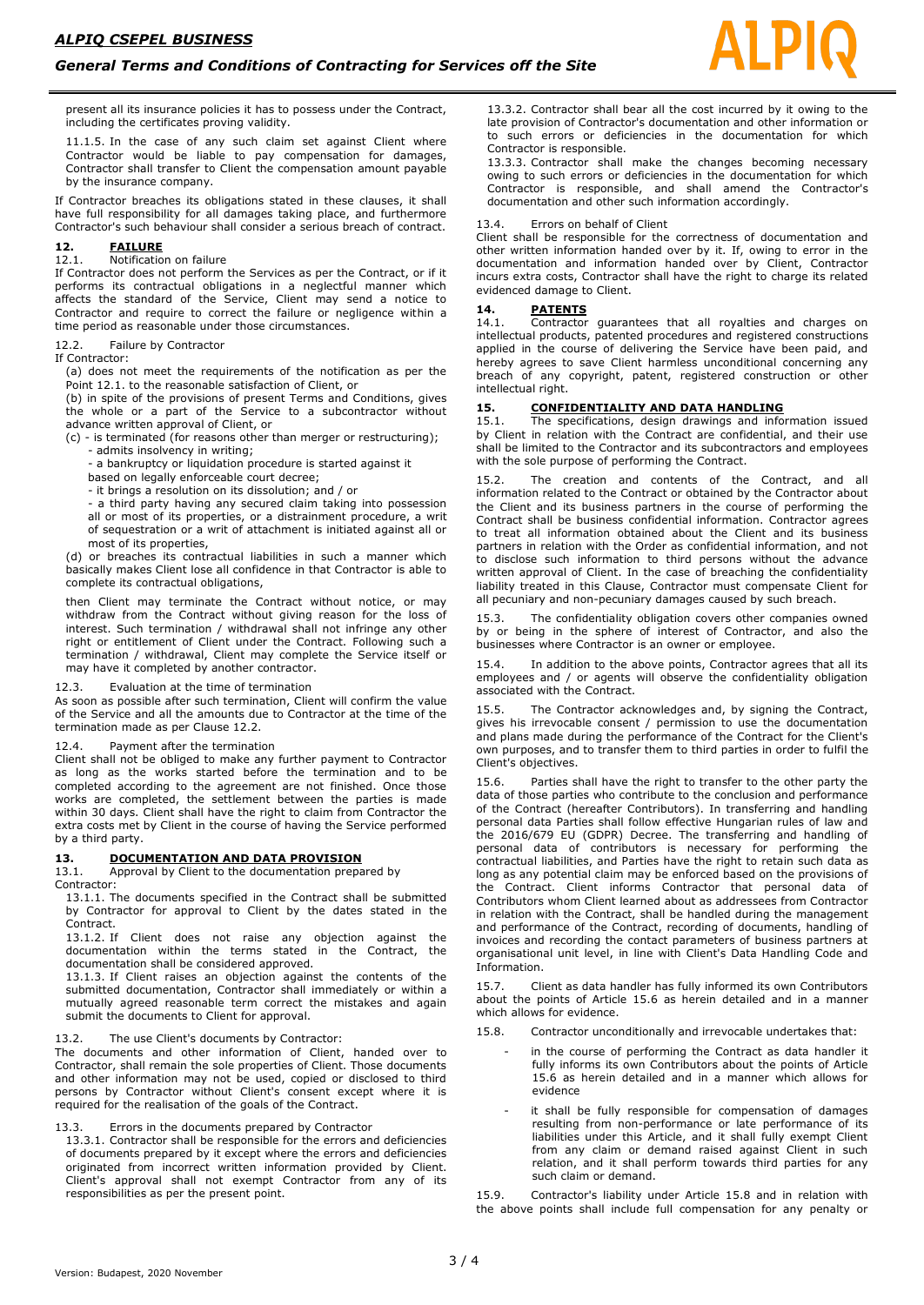present all its insurance policies it has to possess under the Contract, including the certificates proving validity.

11.1.5. In the case of any such claim set against Client where Contractor would be liable to pay compensation for damages, Contractor shall transfer to Client the compensation amount payable by the insurance company.

If Contractor breaches its obligations stated in these clauses, it shall have full responsibility for all damages taking place, and furthermore Contractor's such behaviour shall consider a serious breach of contract.

# **12. FAILURE**

# Notification on failure

If Contractor does not perform the Services as per the Contract, or if it performs its contractual obligations in a neglectful manner which affects the standard of the Service, Client may send a notice to Contractor and require to correct the failure or negligence within a time period as reasonable under those circumstances.

#### 12.2. Failure by Contractor

If Contractor:

(a) does not meet the requirements of the notification as per the Point 12.1. to the reasonable satisfaction of Client, or

(b) in spite of the provisions of present Terms and Conditions, gives the whole or a part of the Service to a subcontractor without advance written approval of Client, or

(c) - is terminated (for reasons other than merger or restructuring); - admits insolvency in writing;

a bankruptcy or liquidation procedure is started against it

based on legally enforceable court decree;

- it brings a resolution on its dissolution; and / or

- a third party having any secured claim taking into possession all or most of its properties, or a distrainment procedure, a writ of sequestration or a writ of attachment is initiated against all or most of its properties,

(d) or breaches its contractual liabilities in such a manner which basically makes Client lose all confidence in that Contractor is able to complete its contractual obligations,

then Client may terminate the Contract without notice, or may withdraw from the Contract without giving reason for the loss of interest. Such termination / withdrawal shall not infringe any other right or entitlement of Client under the Contract. Following such a termination / withdrawal, Client may complete the Service itself or may have it completed by another contractor.

# 12.3. Evaluation at the time of termination

As soon as possible after such termination, Client will confirm the value of the Service and all the amounts due to Contractor at the time of the termination made as per Clause 12.2.

#### 12.4. Payment after the termination

Client shall not be obliged to make any further payment to Contractor as long as the works started before the termination and to be completed according to the agreement are not finished. Once those works are completed, the settlement between the parties is made within 30 days. Client shall have the right to claim from Contractor the extra costs met by Client in the course of having the Service performed by a third party.

#### **13. DOCUMENTATION AND DATA PROVISION**

13.1. Approval by Client to the documentation prepared by

Contractor:

13.1.1. The documents specified in the Contract shall be submitted by Contractor for approval to Client by the dates stated in the Contract.

13.1.2. If Client does not raise any objection against the documentation within the terms stated in the Contract, the documentation shall be considered approved.

13.1.3. If Client raises an objection against the contents of the submitted documentation, Contractor shall immediately or within a mutually agreed reasonable term correct the mistakes and again submit the documents to Client for approval.

13.2. The use Client's documents by Contractor:

The documents and other information of Client, handed over to Contractor, shall remain the sole properties of Client. Those documents and other information may not be used, copied or disclosed to third persons by Contractor without Client's consent except where it is required for the realisation of the goals of the Contract.

#### 13.3. Errors in the documents prepared by Contractor

13.3.1. Contractor shall be responsible for the errors and deficiencies of documents prepared by it except where the errors and deficiencies originated from incorrect written information provided by Client. Client's approval shall not exempt Contractor from any of its responsibilities as per the present point.

13.3.2. Contractor shall bear all the cost incurred by it owing to the late provision of Contractor's documentation and other information or to such errors or deficiencies in the documentation for which Contractor is responsible.

13.3.3. Contractor shall make the changes becoming necessary owing to such errors or deficiencies in the documentation for which Contractor is responsible, and shall amend the Contractor's documentation and other such information accordingly.

#### 13.4 Errors on behalf of Client

Client shall be responsible for the correctness of documentation and other written information handed over by it. If, owing to error in the documentation and information handed over by Client, Contractor incurs extra costs, Contractor shall have the right to charge its related evidenced damage to Client.

# 14. **PATENTS**<br>14.1. Contractor

Contractor guarantees that all royalties and charges on intellectual products, patented procedures and registered constructions applied in the course of delivering the Service have been paid, and hereby agrees to save Client harmless unconditional concerning any breach of any copyright, patent, registered construction or other intellectual right.

#### **15. CONFIDENTIALITY AND DATA HANDLING**

15.1. The specifications, design drawings and information issued by Client in relation with the Contract are confidential, and their use shall be limited to the Contractor and its subcontractors and employees with the sole purpose of performing the Contract.

15.2. The creation and contents of the Contract, and all information related to the Contract or obtained by the Contractor about the Client and its business partners in the course of performing the Contract shall be business confidential information. Contractor agrees to treat all information obtained about the Client and its business partners in relation with the Order as confidential information, and not to disclose such information to third persons without the advance written approval of Client. In the case of breaching the confidentiality liability treated in this Clause, Contractor must compensate Client for all pecuniary and non-pecuniary damages caused by such breach.

15.3. The confidentiality obligation covers other companies owned by or being in the sphere of interest of Contractor, and also the businesses where Contractor is an owner or employee.

15.4. In addition to the above points, Contractor agrees that all its employees and / or agents will observe the confidentiality obligation associated with the Contract.

15.5. The Contractor acknowledges and, by signing the Contract, gives his irrevocable consent / permission to use the documentation and plans made during the performance of the Contract for the Client's own purposes, and to transfer them to third parties in order to fulfil the Client's objectives.

15.6. Parties shall have the right to transfer to the other party the data of those parties who contribute to the conclusion and performance of the Contract (hereafter Contributors). In transferring and handling personal data Parties shall follow effective Hungarian rules of law and the 2016/679 EU (GDPR) Decree. The transferring and handling of personal data of contributors is necessary for performing the contractual liabilities, and Parties have the right to retain such data as long as any potential claim may be enforced based on the provisions of the Contract. Client informs Contractor that personal data of Contributors whom Client learned about as addressees from Contractor in relation with the Contract, shall be handled during the management and performance of the Contract, recording of documents, handling of invoices and recording the contact parameters of business partners at organisational unit level, in line with Client's Data Handling Code and Information.

15.7. Client as data handler has fully informed its own Contributors about the points of Article 15.6 as herein detailed and in a manner which allows for evidence.

- 15.8. Contractor unconditionally and irrevocable undertakes that:
	- in the course of performing the Contract as data handler it fully informs its own Contributors about the points of Article 15.6 as herein detailed and in a manner which allows for evidence
	- it shall be fully responsible for compensation of damages resulting from non-performance or late performance of its liabilities under this Article, and it shall fully exempt Client from any claim or demand raised against Client in such relation, and it shall perform towards third parties for any such claim or demand.

15.9. Contractor's liability under Article 15.8 and in relation with the above points shall include full compensation for any penalty or